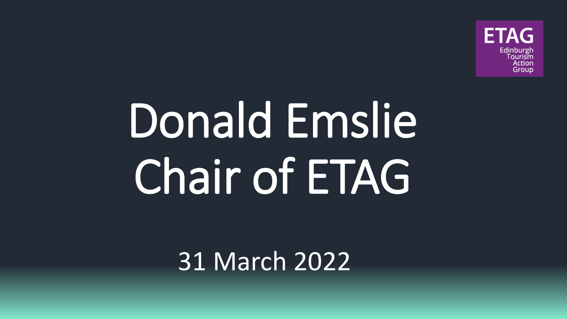

# Donald Emslie Chair of ETAG

31 March 2022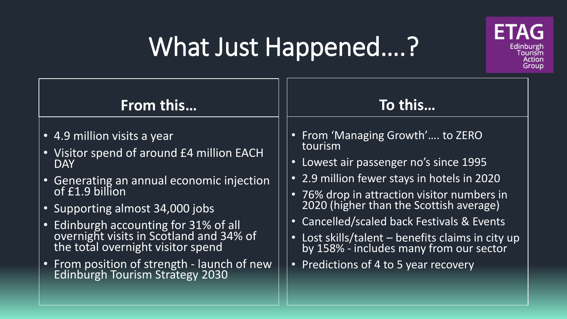#### What Just Happened….?



• From position of strength - launch of new Edinburgh Tourism Strategy 2030

#### • Predictions of 4 to 5 year recovery

Edinburgh ourism Action Group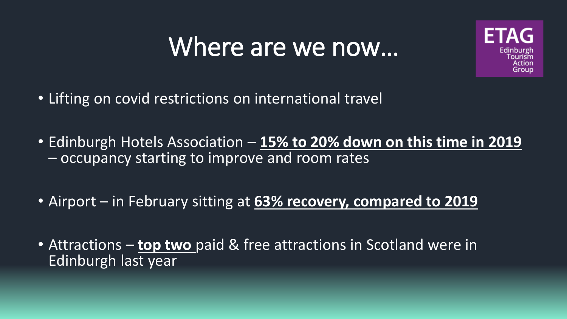#### Where are we now…



- Lifting on covid restrictions on international travel
- Edinburgh Hotels Association **15% to 20% down on this time in 2019**  – occupancy starting to improve and room rates
- Airport in February sitting at **63% recovery, compared to 2019**
- Attractions **top two** paid & free attractions in Scotland were in Edinburgh last year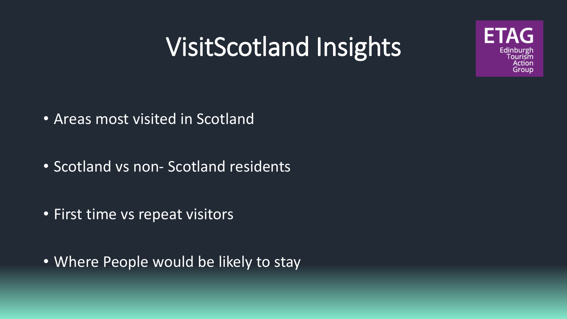## VisitScotland Insights

ETAG

Edinburgh Tourism **Action** Group



- Scotland vs non- Scotland residents
- First time vs repeat visitors
- Where People would be likely to stay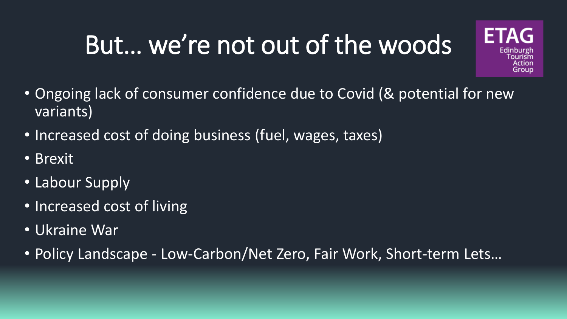#### But… we're not out of the woods



- Ongoing lack of consumer confidence due to Covid (& potential for new variants)
- Increased cost of doing business (fuel, wages, taxes)
- Brexit
- Labour Supply
- Increased cost of living
- Ukraine War
- Policy Landscape Low-Carbon/Net Zero, Fair Work, Short-term Lets…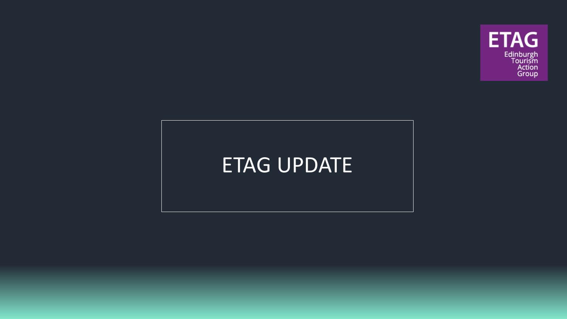

#### ETAG UPDATE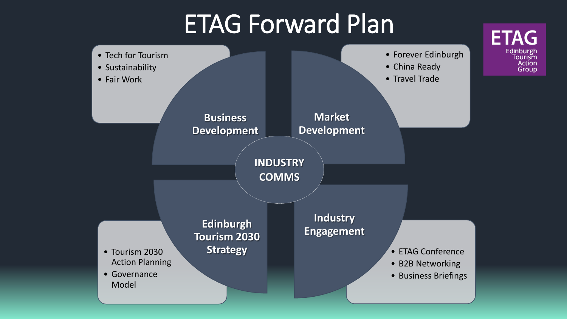#### ETAG Forward Plan

**ETAG** 

Edinburgh<br>Tourism **Action** Group

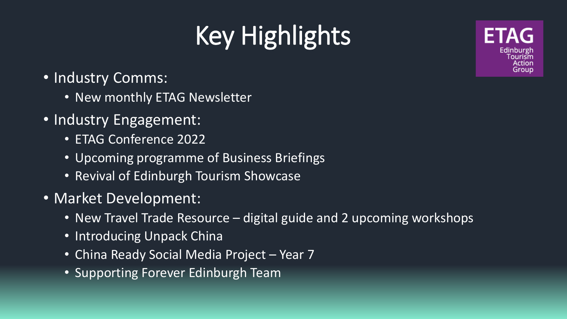### Key Highlights

Edinburg Action aroun

- Industry Comms:
	- New monthly ETAG Newsletter
- Industry Engagement:
	- ETAG Conference 2022
	- Upcoming programme of Business Briefings
	- Revival of Edinburgh Tourism Showcase
- Market Development:
	- New Travel Trade Resource digital guide and 2 upcoming workshops
	- Introducing Unpack China
	- China Ready Social Media Project Year 7
	- Supporting Forever Edinburgh Team